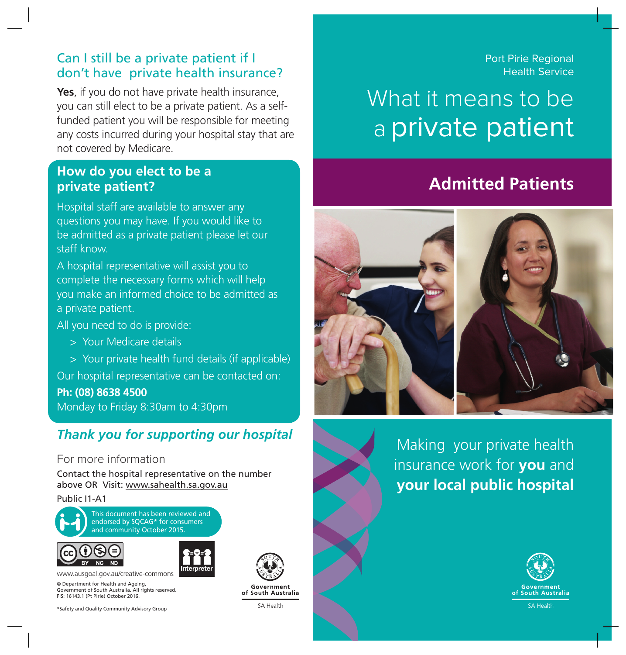### Can I still be a private patient if I don't have private health insurance?

**Yes**, if you do not have private health insurance, you can still elect to be a private patient. As a selffunded patient you will be responsible for meeting any costs incurred during your hospital stay that are not covered by Medicare.

### **How do you elect to be a private patient?**

Hospital staff are available to answer any questions you may have. If you would like to be admitted as a private patient please let our staff know.

A hospital representative will assist you to complete the necessary forms which will help you make an informed choice to be admitted as a private patient.

All you need to do is provide:

- > > Your Medicare details
- > > Your private health fund details (if applicable)

Our hospital representative can be contacted on:

**Ph: (08) 8638 4500** Monday to Friday 8:30am to 4:30pm

### *Thank you for supporting our hospital*

#### For more information

Contact the hospital representative on the number above OR Visit: www.sahealth.sa.gov.au

#### Public I1-A1

![](_page_0_Picture_14.jpeg)

This document has been reviewed and endorsed by SQCAG\* for consumers and community October 2015.

![](_page_0_Picture_16.jpeg)

![](_page_0_Picture_17.jpeg)

© Department for Health and Ageing, www.ausgoal.gov.au/creative-commons

Government of South Australia. All rights reserved. FIS: 16143.1 (Pt Pirie) October 2016.

\*Safety and Quality Community Advisory Group

![](_page_0_Picture_21.jpeg)

of South Australia

SA Health

Port Pirie Regional Health Service

# What it means to be a private patient

## **Admitted Patients**

![](_page_0_Picture_27.jpeg)

Making your private health insurance work for **you** and **your local public hospital**

![](_page_0_Picture_29.jpeg)